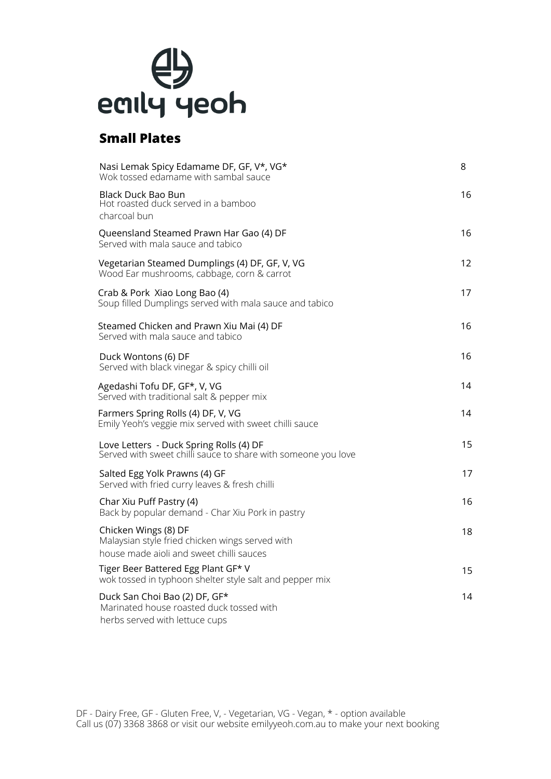## $\bigoplus$ <br>eaily yeoh

### **Small Plates**

| Nasi Lemak Spicy Edamame DF, GF, V*, VG*<br>Wok tossed edamame with sambal sauce                                    | 8  |
|---------------------------------------------------------------------------------------------------------------------|----|
| <b>Black Duck Bao Bun</b><br>Hot roasted duck served in a bamboo<br>charcoal bun                                    | 16 |
| Queensland Steamed Prawn Har Gao (4) DF<br>Served with mala sauce and tabico                                        | 16 |
| Vegetarian Steamed Dumplings (4) DF, GF, V, VG<br>Wood Ear mushrooms, cabbage, corn & carrot                        | 12 |
| Crab & Pork Xiao Long Bao (4)<br>Soup filled Dumplings served with mala sauce and tabico                            | 17 |
| Steamed Chicken and Prawn Xiu Mai (4) DF<br>Served with mala sauce and tabico                                       | 16 |
| Duck Wontons (6) DF<br>Served with black vinegar & spicy chilli oil                                                 | 16 |
| Agedashi Tofu DF, GF*, V, VG<br>Served with traditional salt & pepper mix                                           | 14 |
| Farmers Spring Rolls (4) DF, V, VG<br>Emily Yeoh's veggie mix served with sweet chilli sauce                        | 14 |
| Love Letters - Duck Spring Rolls (4) DF<br>Served with sweet chilli sauce to share with someone you love            | 15 |
| Salted Egg Yolk Prawns (4) GF<br>Served with fried curry leaves & fresh chilli                                      | 17 |
| Char Xiu Puff Pastry (4)<br>Back by popular demand - Char Xiu Pork in pastry                                        | 16 |
| Chicken Wings (8) DF<br>Malaysian style fried chicken wings served with<br>house made aioli and sweet chilli sauces | 18 |
| Tiger Beer Battered Egg Plant GF* V<br>wok tossed in typhoon shelter style salt and pepper mix                      | 15 |
| Duck San Choi Bao (2) DF, GF*<br>Marinated house roasted duck tossed with<br>herbs served with lettuce cups         | 14 |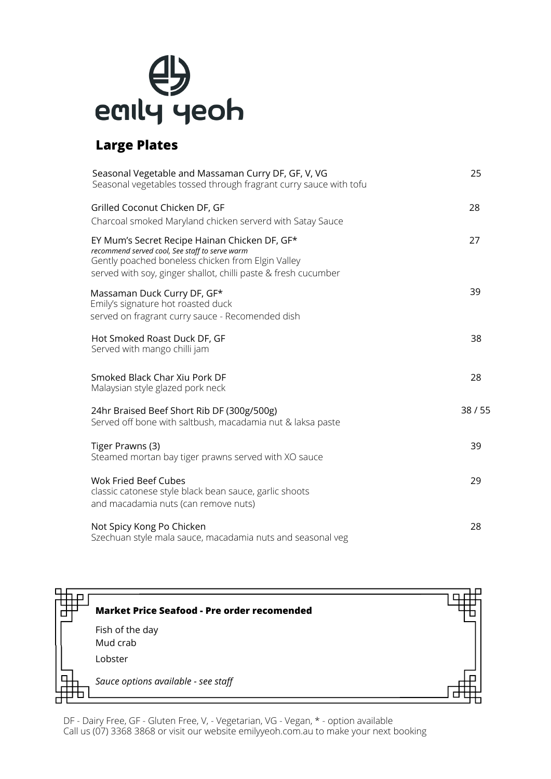

## **Large Plates**

| Seasonal Vegetable and Massaman Curry DF, GF, V, VG<br>Seasonal vegetables tossed through fragrant curry sauce with tofu                                                                                               | 25    |
|------------------------------------------------------------------------------------------------------------------------------------------------------------------------------------------------------------------------|-------|
| Grilled Coconut Chicken DF, GF<br>Charcoal smoked Maryland chicken serverd with Satay Sauce                                                                                                                            | 28    |
| EY Mum's Secret Recipe Hainan Chicken DF, GF*<br>recommend served cool, See staff to serve warm<br>Gently poached boneless chicken from Elgin Valley<br>served with soy, ginger shallot, chilli paste & fresh cucumber | 27    |
| Massaman Duck Curry DF, GF*<br>Emily's signature hot roasted duck<br>served on fragrant curry sauce - Recomended dish                                                                                                  | 39    |
| Hot Smoked Roast Duck DF, GF<br>Served with mango chilli jam                                                                                                                                                           | 38    |
| Smoked Black Char Xiu Pork DF<br>Malaysian style glazed pork neck                                                                                                                                                      | 28    |
| 24hr Braised Beef Short Rib DF (300g/500g)<br>Served off bone with saltbush, macadamia nut & laksa paste                                                                                                               | 38/55 |
| Tiger Prawns (3)<br>Steamed mortan bay tiger prawns served with XO sauce                                                                                                                                               | 39    |
| <b>Wok Fried Beef Cubes</b><br>classic catonese style black bean sauce, garlic shoots<br>and macadamia nuts (can remove nuts)                                                                                          | 29    |
| Not Spicy Kong Po Chicken<br>Szechuan style mala sauce, macadamia nuts and seasonal veg                                                                                                                                | 28    |



DF - Dairy Free, GF - Gluten Free, V, - Vegetarian, VG - Vegan, \* - option available Call us (07) 3368 3868 or visit our website emilyyeoh.com.au to make your next booking